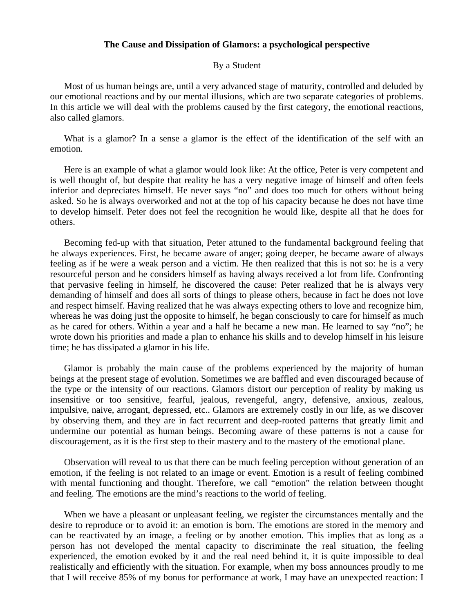#### **The Cause and Dissipation of Glamors: a psychological perspective**

#### By a Student

 Most of us human beings are, until a very advanced stage of maturity, controlled and deluded by our emotional reactions and by our mental illusions, which are two separate categories of problems. In this article we will deal with the problems caused by the first category, the emotional reactions, also called glamors.

What is a glamor? In a sense a glamor is the effect of the identification of the self with an emotion.

 Here is an example of what a glamor would look like: At the office, Peter is very competent and is well thought of, but despite that reality he has a very negative image of himself and often feels inferior and depreciates himself. He never says "no" and does too much for others without being asked. So he is always overworked and not at the top of his capacity because he does not have time to develop himself. Peter does not feel the recognition he would like, despite all that he does for others.

 Becoming fed-up with that situation, Peter attuned to the fundamental background feeling that he always experiences. First, he became aware of anger; going deeper, he became aware of always feeling as if he were a weak person and a victim. He then realized that this is not so: he is a very resourceful person and he considers himself as having always received a lot from life. Confronting that pervasive feeling in himself, he discovered the cause: Peter realized that he is always very demanding of himself and does all sorts of things to please others, because in fact he does not love and respect himself. Having realized that he was always expecting others to love and recognize him, whereas he was doing just the opposite to himself, he began consciously to care for himself as much as he cared for others. Within a year and a half he became a new man. He learned to say "no"; he wrote down his priorities and made a plan to enhance his skills and to develop himself in his leisure time; he has dissipated a glamor in his life.

 Glamor is probably the main cause of the problems experienced by the majority of human beings at the present stage of evolution. Sometimes we are baffled and even discouraged because of the type or the intensity of our reactions. Glamors distort our perception of reality by making us insensitive or too sensitive, fearful, jealous, revengeful, angry, defensive, anxious, zealous, impulsive, naive, arrogant, depressed, etc.. Glamors are extremely costly in our life, as we discover by observing them, and they are in fact recurrent and deep-rooted patterns that greatly limit and undermine our potential as human beings. Becoming aware of these patterns is not a cause for discouragement, as it is the first step to their mastery and to the mastery of the emotional plane.

 Observation will reveal to us that there can be much feeling perception without generation of an emotion, if the feeling is not related to an image or event. Emotion is a result of feeling combined with mental functioning and thought. Therefore, we call "emotion" the relation between thought and feeling. The emotions are the mind's reactions to the world of feeling.

 When we have a pleasant or unpleasant feeling, we register the circumstances mentally and the desire to reproduce or to avoid it: an emotion is born. The emotions are stored in the memory and can be reactivated by an image, a feeling or by another emotion. This implies that as long as a person has not developed the mental capacity to discriminate the real situation, the feeling experienced, the emotion evoked by it and the real need behind it, it is quite impossible to deal realistically and efficiently with the situation. For example, when my boss announces proudly to me that I will receive 85% of my bonus for performance at work, I may have an unexpected reaction: I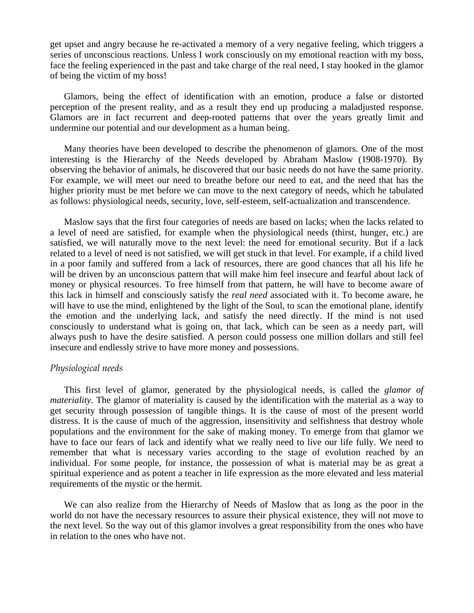get upset and angry because he re-activated a memory of a very negative feeling, which triggers a series of unconscious reactions. Unless I work consciously on my emotional reaction with my boss, face the feeling experienced in the past and take charge of the real need, I stay hooked in the glamor of being the victim of my boss!

 Glamors, being the effect of identification with an emotion, produce a false or distorted perception of the present reality, and as a result they end up producing a maladjusted response. Glamors are in fact recurrent and deep-rooted patterns that over the years greatly limit and undermine our potential and our development as a human being.

 Many theories have been developed to describe the phenomenon of glamors. One of the most interesting is the Hierarchy of the Needs developed by Abraham Maslow (1908-1970). By observing the behavior of animals, he discovered that our basic needs do not have the same priority. For example, we will meet our need to breathe before our need to eat, and the need that has the higher priority must be met before we can move to the next category of needs, which he tabulated as follows: physiological needs, security, love, self-esteem, self-actualization and transcendence.

 Maslow says that the first four categories of needs are based on lacks; when the lacks related to a level of need are satisfied, for example when the physiological needs (thirst, hunger, etc.) are satisfied, we will naturally move to the next level: the need for emotional security. But if a lack related to a level of need is not satisfied, we will get stuck in that level. For example, if a child lived in a poor family and suffered from a lack of resources, there are good chances that all his life he will be driven by an unconscious pattern that will make him feel insecure and fearful about lack of money or physical resources. To free himself from that pattern, he will have to become aware of this lack in himself and consciously satisfy the *real need* associated with it. To become aware, he will have to use the mind, enlightened by the light of the Soul, to scan the emotional plane, identify the emotion and the underlying lack, and satisfy the need directly. If the mind is not used consciously to understand what is going on, that lack, which can be seen as a needy part, will always push to have the desire satisfied. A person could possess one million dollars and still feel insecure and endlessly strive to have more money and possessions.

### *Physiological needs*

 This first level of glamor, generated by the physiological needs, is called the *glamor of materiality*. The glamor of materiality is caused by the identification with the material as a way to get security through possession of tangible things. It is the cause of most of the present world distress. It is the cause of much of the aggression, insensitivity and selfishness that destroy whole populations and the environment for the sake of making money. To emerge from that glamor we have to face our fears of lack and identify what we really need to live our life fully. We need to remember that what is necessary varies according to the stage of evolution reached by an individual. For some people, for instance, the possession of what is material may be as great a spiritual experience and as potent a teacher in life expression as the more elevated and less material requirements of the mystic or the hermit.

 We can also realize from the Hierarchy of Needs of Maslow that as long as the poor in the world do not have the necessary resources to assure their physical existence, they will not move to the next level. So the way out of this glamor involves a great responsibility from the ones who have in relation to the ones who have not.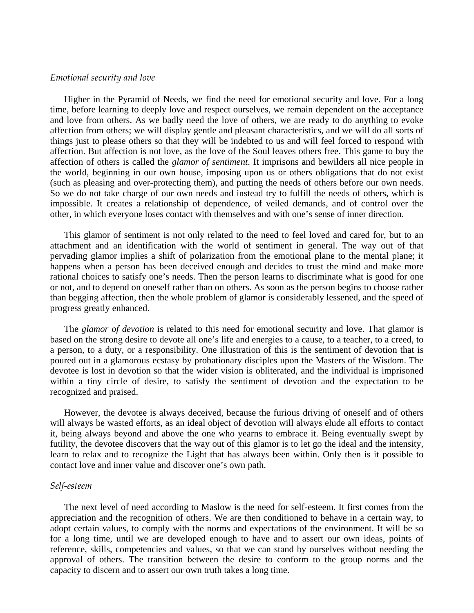## *Emotional security and love*

 Higher in the Pyramid of Needs, we find the need for emotional security and love. For a long time, before learning to deeply love and respect ourselves, we remain dependent on the acceptance and love from others. As we badly need the love of others, we are ready to do anything to evoke affection from others; we will display gentle and pleasant characteristics, and we will do all sorts of things just to please others so that they will be indebted to us and will feel forced to respond with affection. But affection is not love, as the love of the Soul leaves others free. This game to buy the affection of others is called the *glamor of sentiment*. It imprisons and bewilders all nice people in the world, beginning in our own house, imposing upon us or others obligations that do not exist (such as pleasing and over-protecting them), and putting the needs of others before our own needs. So we do not take charge of our own needs and instead try to fulfill the needs of others, which is impossible. It creates a relationship of dependence, of veiled demands, and of control over the other, in which everyone loses contact with themselves and with one's sense of inner direction.

 This glamor of sentiment is not only related to the need to feel loved and cared for, but to an attachment and an identification with the world of sentiment in general. The way out of that pervading glamor implies a shift of polarization from the emotional plane to the mental plane; it happens when a person has been deceived enough and decides to trust the mind and make more rational choices to satisfy one's needs. Then the person learns to discriminate what is good for one or not, and to depend on oneself rather than on others. As soon as the person begins to choose rather than begging affection, then the whole problem of glamor is considerably lessened, and the speed of progress greatly enhanced.

 The *glamor of devotion* is related to this need for emotional security and love. That glamor is based on the strong desire to devote all one's life and energies to a cause, to a teacher, to a creed, to a person, to a duty, or a responsibility. One illustration of this is the sentiment of devotion that is poured out in a glamorous ecstasy by probationary disciples upon the Masters of the Wisdom. The devotee is lost in devotion so that the wider vision is obliterated, and the individual is imprisoned within a tiny circle of desire, to satisfy the sentiment of devotion and the expectation to be recognized and praised.

 However, the devotee is always deceived, because the furious driving of oneself and of others will always be wasted efforts, as an ideal object of devotion will always elude all efforts to contact it, being always beyond and above the one who yearns to embrace it. Being eventually swept by futility, the devotee discovers that the way out of this glamor is to let go the ideal and the intensity, learn to relax and to recognize the Light that has always been within. Only then is it possible to contact love and inner value and discover one's own path.

### *Self-esteem*

 The next level of need according to Maslow is the need for self-esteem. It first comes from the appreciation and the recognition of others. We are then conditioned to behave in a certain way, to adopt certain values, to comply with the norms and expectations of the environment. It will be so for a long time, until we are developed enough to have and to assert our own ideas, points of reference, skills, competencies and values, so that we can stand by ourselves without needing the approval of others. The transition between the desire to conform to the group norms and the capacity to discern and to assert our own truth takes a long time.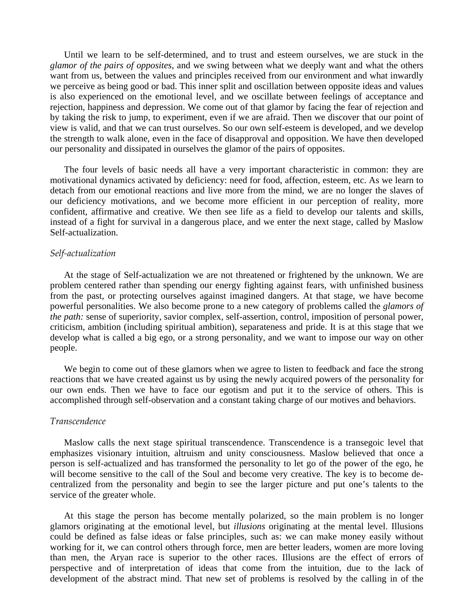Until we learn to be self-determined, and to trust and esteem ourselves, we are stuck in the *glamor of the pairs of opposites*, and we swing between what we deeply want and what the others want from us, between the values and principles received from our environment and what inwardly we perceive as being good or bad. This inner split and oscillation between opposite ideas and values is also experienced on the emotional level, and we oscillate between feelings of acceptance and rejection, happiness and depression. We come out of that glamor by facing the fear of rejection and by taking the risk to jump, to experiment, even if we are afraid. Then we discover that our point of view is valid, and that we can trust ourselves. So our own self-esteem is developed, and we develop the strength to walk alone, even in the face of disapproval and opposition. We have then developed our personality and dissipated in ourselves the glamor of the pairs of opposites.

 The four levels of basic needs all have a very important characteristic in common: they are motivational dynamics activated by deficiency: need for food, affection, esteem, etc. As we learn to detach from our emotional reactions and live more from the mind, we are no longer the slaves of our deficiency motivations, and we become more efficient in our perception of reality, more confident, affirmative and creative. We then see life as a field to develop our talents and skills, instead of a fight for survival in a dangerous place, and we enter the next stage, called by Maslow Self-actualization.

#### *Self-actualization*

 At the stage of Self-actualization we are not threatened or frightened by the unknown. We are problem centered rather than spending our energy fighting against fears, with unfinished business from the past, or protecting ourselves against imagined dangers. At that stage, we have become powerful personalities. We also become prone to a new category of problems called the *glamors of the path:* sense of superiority, savior complex, self-assertion, control, imposition of personal power, criticism, ambition (including spiritual ambition), separateness and pride. It is at this stage that we develop what is called a big ego, or a strong personality, and we want to impose our way on other people.

 We begin to come out of these glamors when we agree to listen to feedback and face the strong reactions that we have created against us by using the newly acquired powers of the personality for our own ends. Then we have to face our egotism and put it to the service of others. This is accomplished through self-observation and a constant taking charge of our motives and behaviors.

### *Transcendence*

 Maslow calls the next stage spiritual transcendence. Transcendence is a transegoic level that emphasizes visionary intuition, altruism and unity consciousness. Maslow believed that once a person is self-actualized and has transformed the personality to let go of the power of the ego, he will become sensitive to the call of the Soul and become very creative. The key is to become decentralized from the personality and begin to see the larger picture and put one's talents to the service of the greater whole.

 At this stage the person has become mentally polarized, so the main problem is no longer glamors originating at the emotional level, but *illusions* originating at the mental level. Illusions could be defined as false ideas or false principles, such as: we can make money easily without working for it, we can control others through force, men are better leaders, women are more loving than men, the Aryan race is superior to the other races. Illusions are the effect of errors of perspective and of interpretation of ideas that come from the intuition, due to the lack of development of the abstract mind. That new set of problems is resolved by the calling in of the